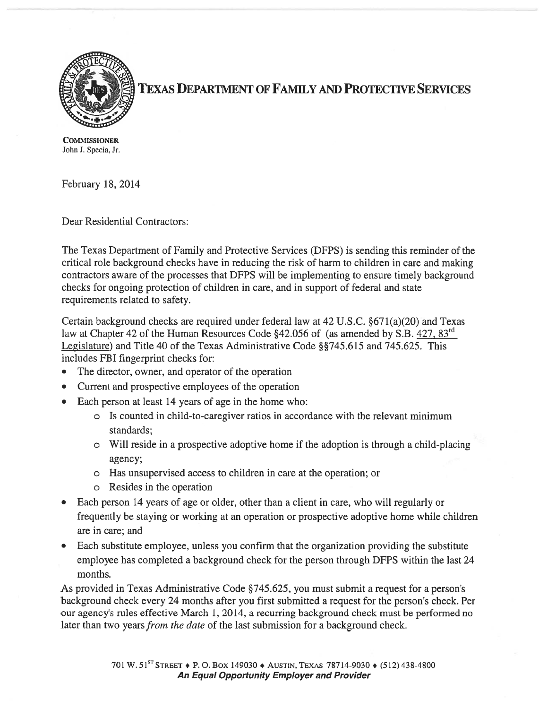

TEXAS DEPARTMENT OF FAMilY AND PROTECTIVE SERVICES

**COMMISSIONER** John J. Specia, Jr.

February 18, 2014

Dear Residential Contractors:

The Texas Department of Family and Protective Services (DFPS) is sending this reminder of the critical role background checks have in reducing the risk of harm to children in care and making contractors aware of the processes that DFPS will be implementing to ensure timely background checks for ongoing protection of children in care, and in suppor<sup>t</sup> of federal and state requirements related to safety.

Certain background checks are required under federal law at 42 U.S.C. §671(a)(20) and Texas law at Chapter 42 of the Human Resources Code §42.056 of (as amended by S.B. 427, 83<sup>rd</sup>) Legislature) and Title 40 of the Texas Administrative Code §§745.615 and 745.625. This includes FBI fingerprint checks for:

- The director, owner, and operator of the operation
- •Current and prospective employees of the operation
- Each person at least 14 years of age in the home who:
	- <sup>o</sup> Is counted in child-to-caregiver ratios in accordance with the relevant minimum standards;
	- <sup>o</sup> Will reside in <sup>a</sup> prospective adoptive home if the adoption is through <sup>a</sup> child-placing agency;
	- <sup>o</sup> Has unsupervised access to children in care at the operation; or
	- <sup>o</sup> Resides in the operation
- Each person 14 years of age or older, other than <sup>a</sup> client in care, who will regularly or frequently be staying or working at an operation or prospective adoptive home while children are in care; and
- • Each substitute employee, unless you confirm that the organization providing the substitute employee has completed <sup>a</sup> background check for the person through DFPS within the last 24 months.

As provided in Texas Administrative Code §745.625, you must submit a request for a person's background check every 24 months after you first submitted a request for the person's check. Per our agency's rules effective March 1, 2014, <sup>a</sup> recurring background check must be performed no later than two years from the date of the last submission for a background check.